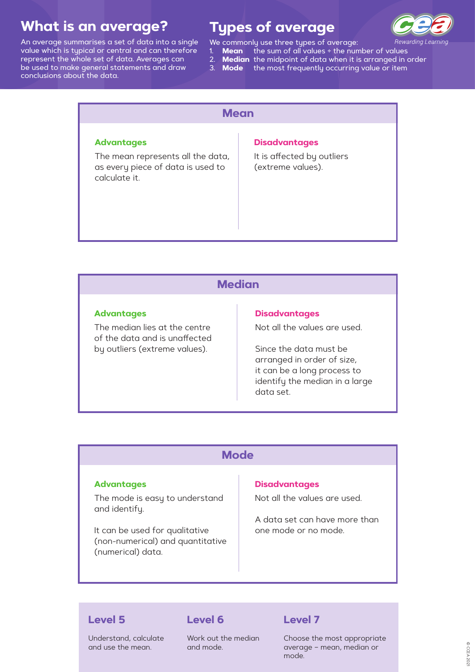# **Types of average**



Rewarding Learning

- We commonly use three types of average:
	- 1. **Mean** the sum of all values ÷ the number of values
	- 2. **Median** the midpoint of data when it is arranged in order
	- 3. **Mode**the most frequently occurring value or item

# **What is an average?**

An average summarises a set of data into a single value which is typical or central and can therefore represent the whole set of data. Averages can be used to make general statements and draw conclusions about the data.

| <b>Mean</b>                                                                             |                                                 |  |
|-----------------------------------------------------------------------------------------|-------------------------------------------------|--|
| <b>Advantages</b>                                                                       | <b>Disadvantages</b>                            |  |
| The mean represents all the data,<br>as every piece of data is used to<br>calculate it. | It is affected by outliers<br>(extreme values). |  |

## **Median**

#### **Advantages**

The median lies at the centre of the data and is unaffected by outliers (extreme values).

#### **Disadvantages**

Not all the values are used.

Since the data must be arranged in order of size, it can be a long process to identify the median in a large data set.

## **Mode**

#### **Advantages**

The mode is easy to understand

#### and identify.

It can be used for qualitative (non-numerical) and quantitative (numerical) data.

#### **Disadvantages**

Not all the values are used.

A data set can have more than one mode or no mode.

## **Level 5**

Understand, calculate and use the mean.

## **Level 6**

Work out the median and mode.

## **Level 7**

Choose the most appropriate average – mean, median or mode.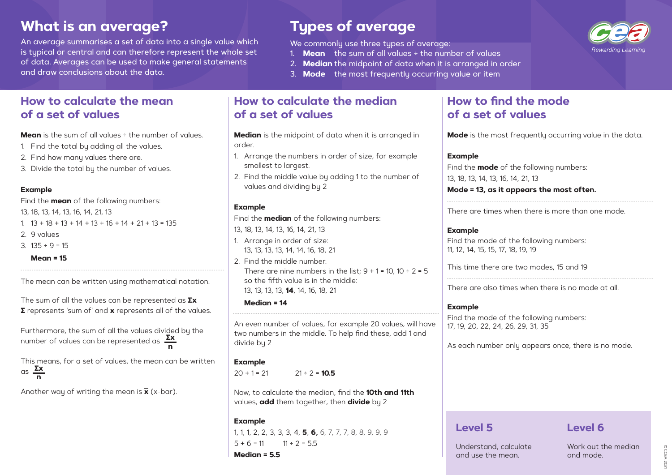# **What is an average?**

An average summarises a set of data into a single value which is typical or central and can therefore represent the whole set of data. Averages can be used to make general statements and draw conclusions about the data.

# **Types of average**

We commonly use three types of average:

- 1. **Mean** the sum of all values ÷ the number of values
- 2. **Median** the midpoint of data when it is arranged in order
- 3. **Mode** the most frequently occurring value or item

## **How to calculate the mean of a set of values**

**Mean** is the sum of all values  $\div$  the number of values.

- 1. Find the total by adding all the values.
- 2. Find how many values there are.
- 3. Divide the total by the number of values.

#### **Example**

Find the **mean** of the following numbers:

13, 18, 13, 14, 13, 16, 14, 21, 13

1.  $13 + 18 + 13 + 14 + 13 + 16 + 14 + 21 + 13 = 135$ 

- 2. 9 values
- 3. 135 ÷ 9 = 15

**Mean = 15**

The mean can be written using mathematical notation.

The sum of all the values can be represented as **∑x ∑** represents 'sum of' and **x** represents all of the values.

> 1, 1, 1, 2, 2, 3, 3, 3, 4, **5**, **6,** 6, 7, 7, 7, 8, 8, 9, 9, 9  $5 + 6 = 11$   $11 \div 2 = 55$

Another way of writing the mean is **x** (x-bar).

## **How to calculate the median of a set of values**

**Median** is the midpoint of data when it is arranged in order.

- 1. Arrange the numbers in order of size, for example smallest to largest.
- 2. Find the middle value by adding 1 to the number of values and dividing by 2

## **Example**

Find the **median** of the following numbers:

- 13, 18, 13, 14, 13, 16, 14, 21, 13
- 1. Arrange in order of size: 13, 13, 13, 13, 14, 14, 16, 18, 21
- 2. Find the middle number. There are nine numbers in the list;  $9 + 1 = 10$ ,  $10 \div 2 = 5$ so the fifth value is in the middle: 13, 13, 13, 13, **14**, 14, 16, 18, 21

#### **Median = 14**

An even number of values, for example 20 values, will have two numbers in the middle. To help find these, add 1 and divide by 2

Furthermore, the sum of all the values divided by the number of values can be represented as **∑x n**

### **Example**

 $20 + 1 = 21$   $21 \div 2 = 10.5$ 

This means, for a set of values, the mean can be written as **∑x n**

> Now, to calculate the median, find the **10th and 11th** values, **add** them together, then **divide** by 2

## **Example**

**Median = 5.5**

## **How to find the mode of a set of values**

**Mode** is the most frequently occurring value in the data.

#### **Example**

Find the **mode** of 13, 18, 13, 14, 13, 16, **Mode = 13, as it a** 

There are times when

### **Example**

Find the mode of 11, 12, 14, 15, 15, 17,

This time there are

There are also times

### **Example**

Find the mode of the following numbers: 17, 19, 20, 22, 24, 26, 29, 31, 35

As each number only appears once, there is no mode.

## **Level 5**

Understand, calculate and use the mean.



| the following numbers:<br>14, 21, 13<br>appears the most often. |  |  |
|-----------------------------------------------------------------|--|--|
|                                                                 |  |  |
| rhen there is more than one mode.                               |  |  |
| the following numbers:<br>18, 19, 19                            |  |  |
| e two modes, 15 and 19 <sup>.</sup>                             |  |  |
| hes when there is no mode at all.                               |  |  |

**Level 6**

Work out the median and mode.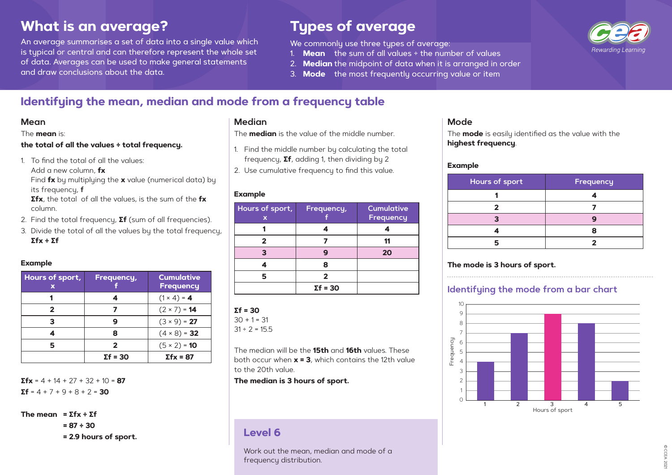# **What is an average?**

An average summarises a set of data into a single value which is typical or central and can therefore represent the whole set of data. Averages can be used to make general statements and draw conclusions about the data.

# **Types of average**

We commonly use three types of average:

- 1. **Mean** the sum of all values ÷ the number of values
- 2. **Median** the midpoint of data when it is arranged in order
- 3. **Mode** the most frequently occurring value or item

## **Identifying the mean, median and mode from a frequency table**

The **mean** is:

#### **the total of all the values ÷ total frequency.**

1. To find the total of all the values:

Add a new column, **fx**

Find **fx** by multiplying the **x** value (numerical data) by its frequency, **f**

**Σfx**, the total of all the values, is the sum of the **fx** column.

- 2. Find the total frequency, **Σf** (sum of all frequencies).
- 3. Divide the total of all the values by the total frequency, **Σfx ÷ Σf**

### **Example**

| Hours of sport,<br>x | <b>Frequency,</b> | <b>Cumulative</b><br><b>Frequency</b> |
|----------------------|-------------------|---------------------------------------|
|                      |                   | $(1 \times 4) = 4$                    |
| 2                    |                   | $(2 \times 7) = 14$                   |
| 3                    |                   | $(3 \times 9) = 27$                   |
|                      | 8                 | $(4 \times 8) = 32$                   |
| 5                    | $\boldsymbol{z}$  | $(5 \times 2) = 10$                   |
|                      | $\Sigma f = 30$   | $\Sigma$ fx = 87                      |

 $Σ$ fx = 4 + 14 + 27 + 32 + 10 = **87**  $Σf = 4 + 7 + 9 + 8 + 2 = 30$ 

**The mean = Σfx ÷ Σf** 

**= 87 ÷ 30**

**= 2.9 hours of sport.**

The **median** is the value of the middle number.

- 1. Find the middle number by calculating the total frequency, **Σf**, adding 1, then dividing by 2
- 2. Use cumulative frequency to find this value.

## **Example**

| Hours of sport,<br>X | Frequency,      | <b>Cumulative</b><br>Frequency |
|----------------------|-----------------|--------------------------------|
|                      |                 |                                |
|                      |                 |                                |
|                      |                 | 20                             |
|                      | 8               |                                |
|                      | 2               |                                |
|                      | $\Sigma f = 30$ |                                |

### $Σf = 30$

 $30 + 1 = 31$ 

 $31 \div 2 = 15.5$ 

The median will be the **15th** and **16th** values. These both occur when **x = 3**, which contains the 12th value to the 20th value.

**The median is 3 hours of sport.**

# The **mode** is easily identified as the value with the

**highest frequency**.

### **Example**

| Hours of sport | Frequency |
|----------------|-----------|
|                |           |
|                |           |
|                |           |
|                |           |
|                |           |

## **The mode is 3 hours of sport.**

## **Identifying the mode from a bar chart**

## **Level 6**

Work out the mean, median and mode of a frequency distribution.

## **Mean Median Mode**